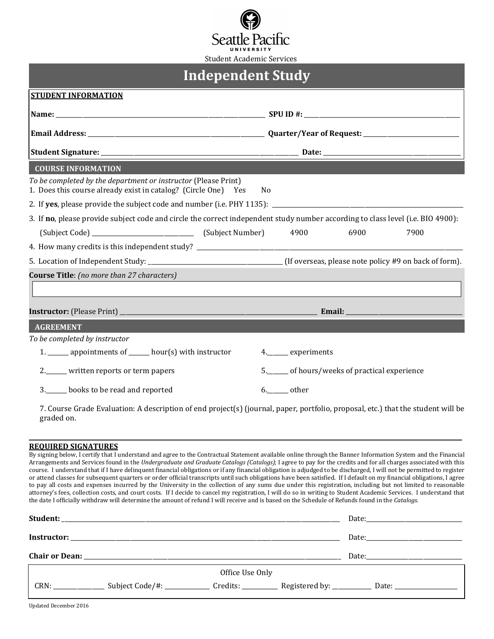

| <b>Student Academic Services</b> |  |  |
|----------------------------------|--|--|
|                                  |  |  |

| <b>Independent Study</b>                                                                                                         |                                           |  |  |  |  |  |
|----------------------------------------------------------------------------------------------------------------------------------|-------------------------------------------|--|--|--|--|--|
| <b>STUDENT INFORMATION</b>                                                                                                       |                                           |  |  |  |  |  |
|                                                                                                                                  |                                           |  |  |  |  |  |
|                                                                                                                                  |                                           |  |  |  |  |  |
|                                                                                                                                  |                                           |  |  |  |  |  |
| <b>COURSE INFORMATION</b>                                                                                                        |                                           |  |  |  |  |  |
| To be completed by the department or instructor (Please Print)<br>1. Does this course already exist in catalog? (Circle One) Yes | N <sub>0</sub>                            |  |  |  |  |  |
|                                                                                                                                  |                                           |  |  |  |  |  |
| 3. If no, please provide subject code and circle the correct independent study number according to class level (i.e. BIO 4900):  |                                           |  |  |  |  |  |
|                                                                                                                                  | 4900<br>6900<br>7900                      |  |  |  |  |  |
|                                                                                                                                  |                                           |  |  |  |  |  |
|                                                                                                                                  |                                           |  |  |  |  |  |
| <b>Course Title:</b> (no more than 27 characters)                                                                                |                                           |  |  |  |  |  |
|                                                                                                                                  |                                           |  |  |  |  |  |
|                                                                                                                                  |                                           |  |  |  |  |  |
| <b>AGREEMENT</b>                                                                                                                 |                                           |  |  |  |  |  |
| To be completed by instructor                                                                                                    |                                           |  |  |  |  |  |
| 1. ______ appointments of ______ hour(s) with instructor                                                                         | 4._______ experiments                     |  |  |  |  |  |
| 2._____ written reports or term papers                                                                                           | 5. of hours/weeks of practical experience |  |  |  |  |  |
| 3._____ books to be read and reported                                                                                            | 6. other                                  |  |  |  |  |  |

7. Course Grade Evaluation: A description of end project(s) (journal, paper, portfolio, proposal, etc.) that the student will be graded on.

## **REQUIRED SIGNATURES**

By signing below, I certify that I understand and agree to the Contractual Statement available online through the Banner Information System and the Financial Arrangements and Services found in the *Undergraduate and Graduate Catalogs (Catalogs)*; I agree to pay for the credits and for all charges associated with this course. I understand that if I have delinquent financial obligations or if any financial obligation is adjudged to be discharged, I will not be permitted to register or attend classes for subsequent quarters or order official transcripts until such obligations have been satisfied. If I default on my financial obligations, I agree to pay all costs and expenses incurred by the University in the collection of any sums due under this registration, including but not limited to reasonable attorney's fees, collection costs, and court costs. If I decide to cancel my registration, I will do so in writing to Student Academic Services. I understand that the date I officially withdraw will determine the amount of refund I will receive and is based on the Schedule of Refunds found in the *Catalogs*.

|  | Office Use Only |  |                                                                                  |
|--|-----------------|--|----------------------------------------------------------------------------------|
|  |                 |  | Credits: ______________ Registered by: ______________ Date: ____________________ |